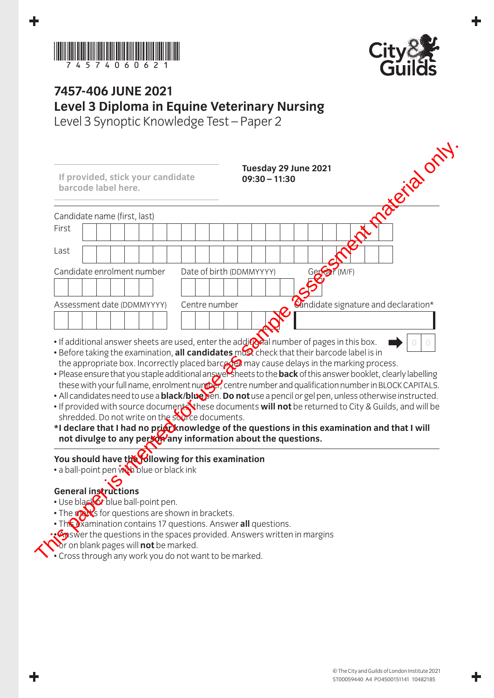



## **7457-406 June 2021 Level 3 Diploma in Equine Veterinary Nursing**

Level 3 Synoptic Knowledge Test – Paper 2

|                              | barcode label here. | If provided, stick your candidate                                                   |                                                         |                                                    | Tuesday 29 June 2021<br>$09:30 - 11:30$                                                                                                                                                                                                                                                                                                                   |   |              | Protection only.                                                                                                                                                                                                                                                                                                                                                                                                                                       |
|------------------------------|---------------------|-------------------------------------------------------------------------------------|---------------------------------------------------------|----------------------------------------------------|-----------------------------------------------------------------------------------------------------------------------------------------------------------------------------------------------------------------------------------------------------------------------------------------------------------------------------------------------------------|---|--------------|--------------------------------------------------------------------------------------------------------------------------------------------------------------------------------------------------------------------------------------------------------------------------------------------------------------------------------------------------------------------------------------------------------------------------------------------------------|
| Candidate name (first, last) |                     |                                                                                     |                                                         |                                                    |                                                                                                                                                                                                                                                                                                                                                           |   |              |                                                                                                                                                                                                                                                                                                                                                                                                                                                        |
| First                        |                     |                                                                                     |                                                         |                                                    |                                                                                                                                                                                                                                                                                                                                                           |   |              |                                                                                                                                                                                                                                                                                                                                                                                                                                                        |
| Last                         |                     |                                                                                     |                                                         |                                                    |                                                                                                                                                                                                                                                                                                                                                           |   |              |                                                                                                                                                                                                                                                                                                                                                                                                                                                        |
|                              |                     | Candidate enrolment number                                                          |                                                         |                                                    | Date of birth (DDMMYYYY)                                                                                                                                                                                                                                                                                                                                  |   | Gerfor (M/F) |                                                                                                                                                                                                                                                                                                                                                                                                                                                        |
|                              |                     |                                                                                     |                                                         |                                                    |                                                                                                                                                                                                                                                                                                                                                           |   |              |                                                                                                                                                                                                                                                                                                                                                                                                                                                        |
|                              |                     | Assessment date (DDMMYYYY)                                                          | Centre number                                           |                                                    |                                                                                                                                                                                                                                                                                                                                                           |   |              | Candidate signature and declaration*                                                                                                                                                                                                                                                                                                                                                                                                                   |
|                              |                     |                                                                                     |                                                         |                                                    |                                                                                                                                                                                                                                                                                                                                                           | D |              |                                                                                                                                                                                                                                                                                                                                                                                                                                                        |
|                              |                     |                                                                                     |                                                         | shredded. Do not write on the source documents.    | • Before taking the examination, all candidates mba check that their barcode label is in<br>the appropriate box. Incorrectly placed barce and may cause delays in the marking process.<br>*I declare that I had no prick knowledge of the questions in this examination and that I will<br>not divulge to any person and information about the questions. |   |              | • Please ensure that you staple additional answersheets to the back of this answer booklet, clearly labelling<br>these with your full name, enrolment number, centre number and qualification number in BLOCK CAPITALS.<br>· All candidates need to use a <b>black/blue</b> en. Do not use a pencil or gel pen, unless otherwise instructed.<br>. If provided with source documents these documents will not be returned to City & Guilds, and will be |
|                              |                     | • a ball-point pen with blue or black ink                                           |                                                         | You should have the Yollowing for this examination |                                                                                                                                                                                                                                                                                                                                                           |   |              |                                                                                                                                                                                                                                                                                                                                                                                                                                                        |
| <b>General instructions</b>  |                     |                                                                                     |                                                         |                                                    |                                                                                                                                                                                                                                                                                                                                                           |   |              |                                                                                                                                                                                                                                                                                                                                                                                                                                                        |
|                              |                     | · Use black blue ball-point pen.                                                    | . The max's for questions are shown in brackets.        |                                                    |                                                                                                                                                                                                                                                                                                                                                           |   |              |                                                                                                                                                                                                                                                                                                                                                                                                                                                        |
|                              |                     | and the contract of the contract of the contract of the contract of the contract of | $\sim$ $\sim$ $\sim$ $\sim$ $\sim$ $\sim$ $\sim$ $\sim$ |                                                    | • The Xamination contains 17 questions. Answer all questions.                                                                                                                                                                                                                                                                                             |   |              |                                                                                                                                                                                                                                                                                                                                                                                                                                                        |

- Please ensure that you staple additional answer sheets to the **back** of this answer booklet, clearly labelling these with your full name, enrolment number, centre number and qualification number in BLOCK CAPITALS.
- All candidates need to use a **black/blue** pen. **Do not** use a pencil or gel pen, unless otherwise instructed.

## You should have the *Houlowing for this examination*

## **General instructions**

- Use black of blue ball-point pen.
- The marks for questions are shown in brackets.
- The Xamination contains 17 questions. Answer all questions.
- Answer the questions in the spaces provided. Answers written in margins<br>
The original part of the marked.<br>
 Cross through any work you do not want to be marked.
	- **o**r on blank pages will **not** be marked.
	- Cross through any work you do not want to be marked.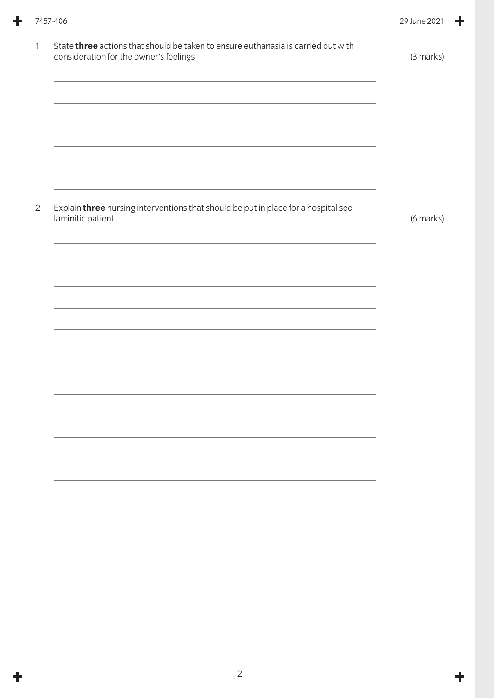| State three actions that should be taken to ensure euthanasia is carried out with<br>$\mathbf{1}$<br>consideration for the owner's feelings. | (3 marks) |
|----------------------------------------------------------------------------------------------------------------------------------------------|-----------|
|                                                                                                                                              |           |
| Explain three nursing interventions that should be put in place for a hospitalised<br>2<br>laminitic patient.                                | (6 marks) |
|                                                                                                                                              |           |
|                                                                                                                                              |           |
|                                                                                                                                              |           |
|                                                                                                                                              |           |
|                                                                                                                                              |           |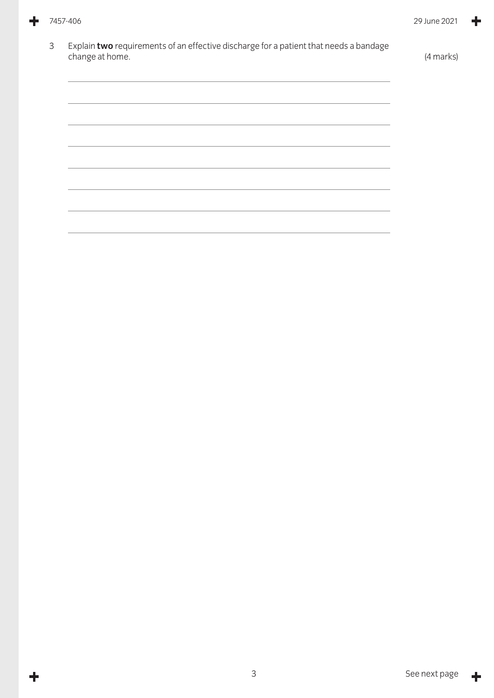÷

| Explain two requirements of an effective discharge for a patient that needs a bandage |           |
|---------------------------------------------------------------------------------------|-----------|
| change at home.                                                                       | (4 marks) |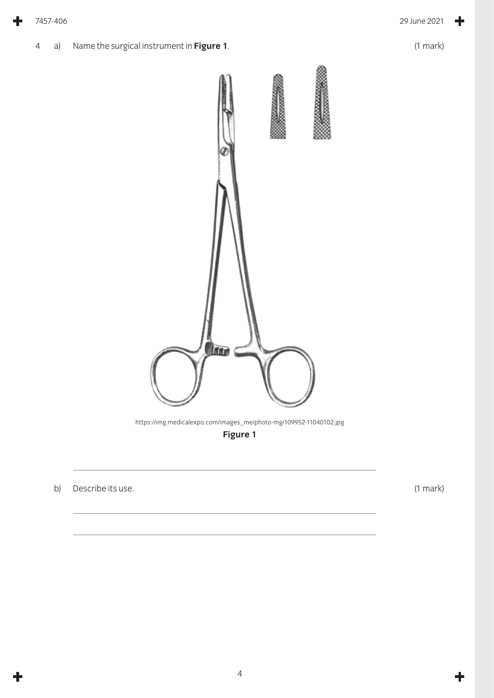4 a) Name the surgical instrument in **Figure 1**. (1 mark)



**Figure 1**

b) Describe its use. (1 mark)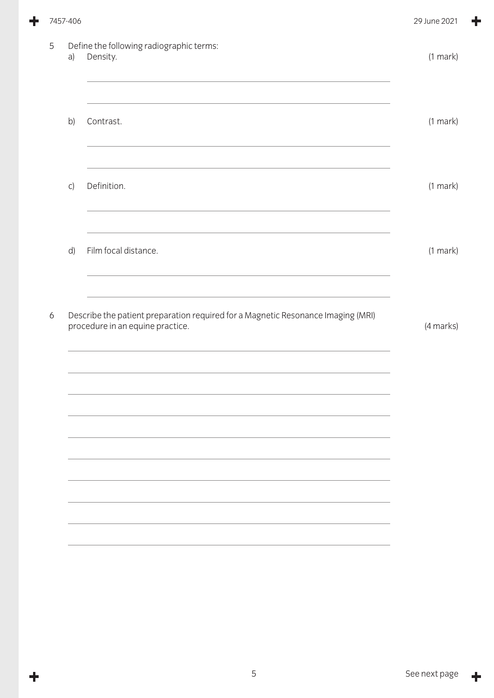|                  | 7457-406 |                                                                                                                      |               |  |  |  |
|------------------|----------|----------------------------------------------------------------------------------------------------------------------|---------------|--|--|--|
| 5                | a)       | Define the following radiographic terms:<br>Density.                                                                 | $(1$ mark $)$ |  |  |  |
|                  | b)       | Contrast.                                                                                                            | $(1$ mark $)$ |  |  |  |
|                  | C)       | Definition.                                                                                                          | $(1$ mark $)$ |  |  |  |
|                  | d)       | Film focal distance.                                                                                                 | $(1$ mark $)$ |  |  |  |
| $\boldsymbol{6}$ |          | Describe the patient preparation required for a Magnetic Resonance Imaging (MRI)<br>procedure in an equine practice. | (4 marks)     |  |  |  |
|                  |          |                                                                                                                      |               |  |  |  |
|                  |          |                                                                                                                      |               |  |  |  |
|                  |          |                                                                                                                      |               |  |  |  |
|                  |          |                                                                                                                      |               |  |  |  |

٠

 $\ddagger$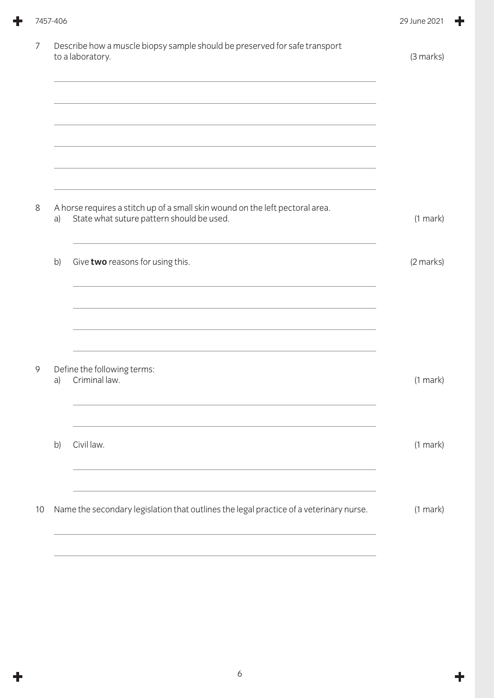| 7  |    | Describe how a muscle biopsy sample should be preserved for safe transport<br>to a laboratory.                             | (3 marks)     |
|----|----|----------------------------------------------------------------------------------------------------------------------------|---------------|
|    |    |                                                                                                                            |               |
|    |    |                                                                                                                            |               |
|    |    |                                                                                                                            |               |
| 8  | a) | A horse requires a stitch up of a small skin wound on the left pectoral area.<br>State what suture pattern should be used. | $(1$ mark $)$ |
|    | b) | Give two reasons for using this.                                                                                           | (2 marks)     |
|    |    |                                                                                                                            |               |
| 9  | a) | Define the following terms:<br>Criminal law.                                                                               | $(1$ mark $)$ |
|    | b) | Civil law.                                                                                                                 | (1 mark)      |
| 10 |    | Name the secondary legislation that outlines the legal practice of a veterinary nurse.                                     | $(1$ mark $)$ |
|    |    |                                                                                                                            |               |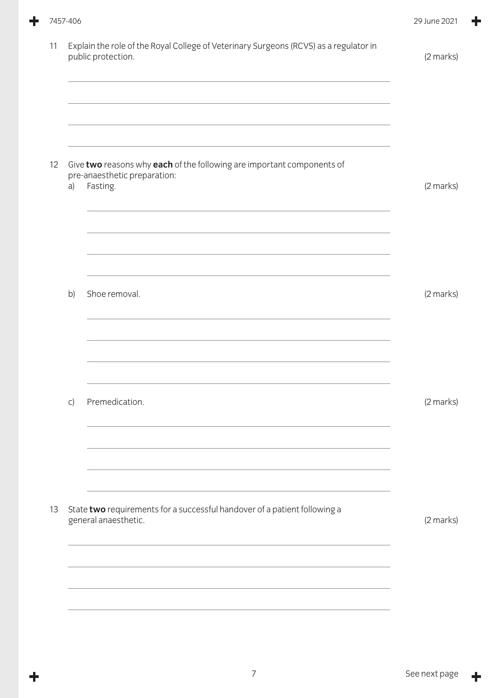|    | 7457-406 |                                                                                                                    | 29 June 2021 |
|----|----------|--------------------------------------------------------------------------------------------------------------------|--------------|
| 11 |          | Explain the role of the Royal College of Veterinary Surgeons (RCVS) as a regulator in<br>public protection.        | (2 marks)    |
| 12 | a)       | Give two reasons why each of the following are important components of<br>pre-anaesthetic preparation:<br>Fasting. | (2 marks)    |
|    | b)       | Shoe removal.                                                                                                      | (2 marks)    |
|    | C)       | Premedication.                                                                                                     | (2 marks)    |
| 13 |          | State two requirements for a successful handover of a patient following a<br>general anaesthetic.                  | (2 marks)    |

٠

 $\ddagger$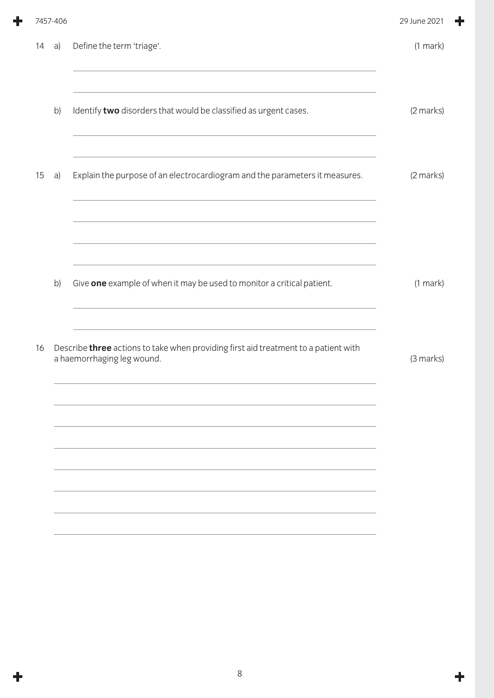|    | 7457-406 |                                                                                                                   | 29 June 2021  |
|----|----------|-------------------------------------------------------------------------------------------------------------------|---------------|
| 14 | a)       | Define the term 'triage'.                                                                                         | $(1$ mark $)$ |
|    | b)       | Identify two disorders that would be classified as urgent cases.                                                  | (2 marks)     |
| 15 | a)       | Explain the purpose of an electrocardiogram and the parameters it measures.                                       | (2 marks)     |
|    | b)       | Give one example of when it may be used to monitor a critical patient.                                            | $(1$ mark $)$ |
| 16 |          | Describe three actions to take when providing first aid treatment to a patient with<br>a haemorrhaging leg wound. | (3 marks)     |
|    |          |                                                                                                                   |               |
|    |          |                                                                                                                   |               |

 $\ddot{}$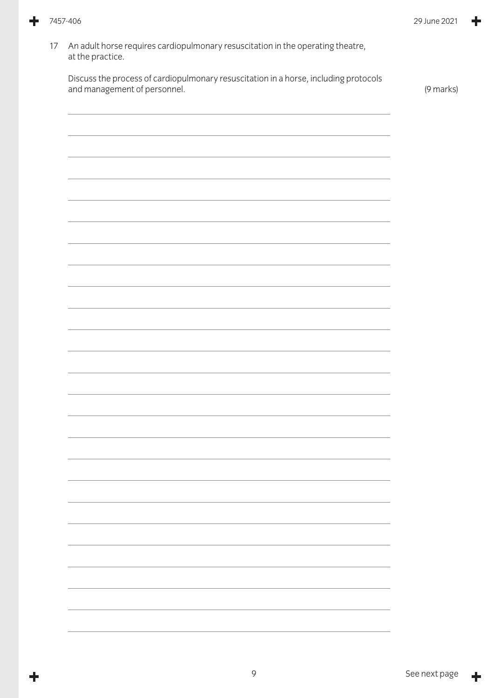17 An adult horse requires cardiopulmonary resuscitation in the operating theatre, at the practice. Discuss the process of cardiopulmonary resuscitation in a horse, including protocols and management of personnel. The contract of personnel.